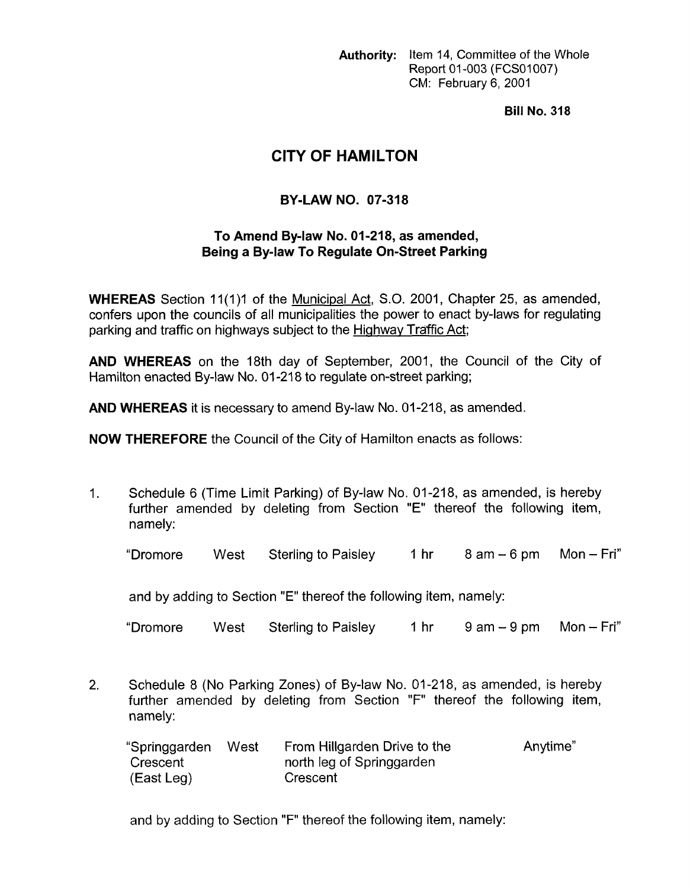**Authority:** Item 14, Committee of the Whole Report 01 -003 (FCSOI *007)*  CM: February 6, 2001

**Bill No. 318** 

## **CITY OF HAMILTON**

## **BY-LAW NO. 07-318**

## **To Amend Bylaw No. 01-218, as amended, Being a By-law To Regulate On-Street Parking**

**WHEREAS** Section 11(1)1 of the Municipal Act, S.O. 2001, Chapter 25, as amended, confers upon the councils of all municipalities the power to enact by-laws for regulating parking and traffic on highways subject to the **Highway Traffic Act**;

**AND WHEREAS** on the 18th day of September, 2001, the Council of the City of Hamilton enacted By-law No. 01-218 to regulate on-street parking;

**AND WHEREAS** it is necessary to amend By-law No. 01-218, as amended.

**NOW THEREFORE** the Council of the City of Hamilton enacts as follows:

1. Schedule 6 (Time Limit Parking) of By-law No. 01-218, as amended, is hereby further amended by deleting from Section "E" thereof the following item, namely:

"Dromore West Sterling to Paisley 1 hr 8 am - 6 pm Mon - Fri"

and by adding to Section "E" thereof the following item, namely:

"Dromore West Sterling to Paisley  $1 \text{ hr}$  9 am  $-9 \text{ pm}$  Mon  $-$  Fri"

2. Schedule 8 (No Parking Zones) of By-law No. 01-218, as amended, is hereby further amended by deleting from Section "F" thereof the following item, namely:

| "Springgarden | West | From Hillgarden Drive to the | Anytime" |
|---------------|------|------------------------------|----------|
| Crescent      |      | north leg of Springgarden    |          |
| (East Leg)    |      | Crescent                     |          |

and by adding to Section "F" thereof the following item, namely: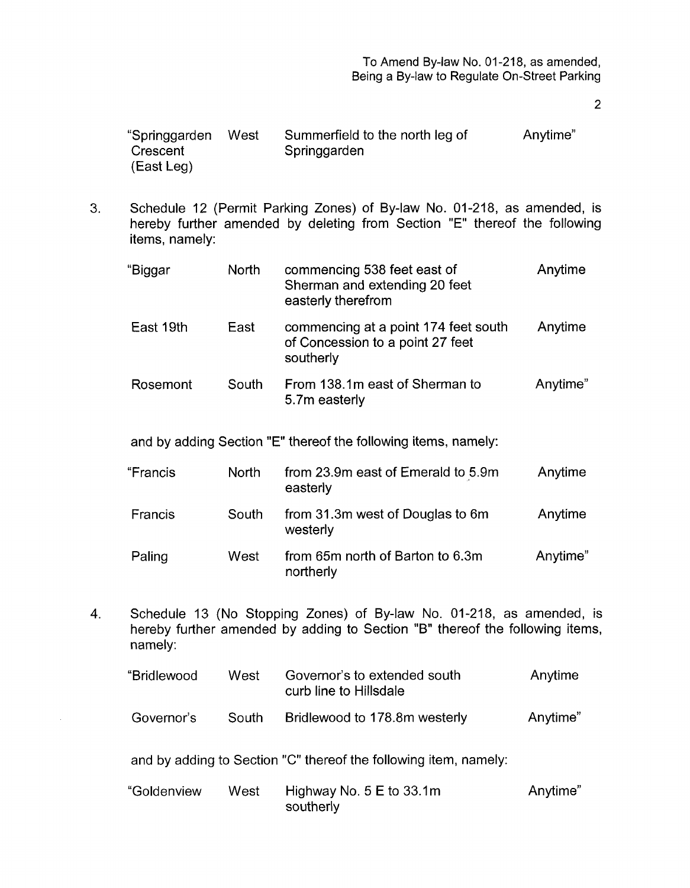2

| "Springgarden | West | Summerfield to the north leg of | Anytime" |
|---------------|------|---------------------------------|----------|
| Crescent      |      | Springgarden                    |          |
| (East Leg)    |      |                                 |          |

3. Schedule 12 (Permit Parking Zones) of By-law No. 01-218, as amended, is hereby further amended by deleting from Section "E" thereof the following items, namely:

| "Biggar   | <b>North</b> | commencing 538 feet east of<br>Sherman and extending 20 feet<br>easterly therefrom    | Anytime  |
|-----------|--------------|---------------------------------------------------------------------------------------|----------|
| East 19th | East         | commencing at a point 174 feet south<br>of Concession to a point 27 feet<br>southerly | Anytime  |
| Rosemont  | South        | From 138.1m east of Sherman to<br>5.7m easterly                                       | Anytime" |

and by adding Section "E" thereof the following items, namely:

| "Francis | <b>North</b> | from 23.9m east of Emerald to 5.9m<br>easterly | Anytime  |
|----------|--------------|------------------------------------------------|----------|
| Francis  | South        | from 31.3m west of Douglas to 6m<br>westerly   | Anytime  |
| Paling   | West         | from 65m north of Barton to 6.3m<br>northerly  | Anytime" |

**4.** Schedule 13 (No Stopping Zones) of By-law No. 01-218, as amended, is hereby further amended by adding to Section "B" thereof the following items, namely:

| "Bridlewood | West  | Governor's to extended south<br>curb line to Hillsdale | Anytime  |
|-------------|-------|--------------------------------------------------------|----------|
| Governor's  | South | Bridlewood to 178.8m westerly                          | Anytime" |

and by adding to Section *"C"* thereof the following item, namely:

| "Goldenview | West | Highway No. $5 \text{ E}$ to 33.1m | Anytime" |
|-------------|------|------------------------------------|----------|
|             |      | southerly                          |          |